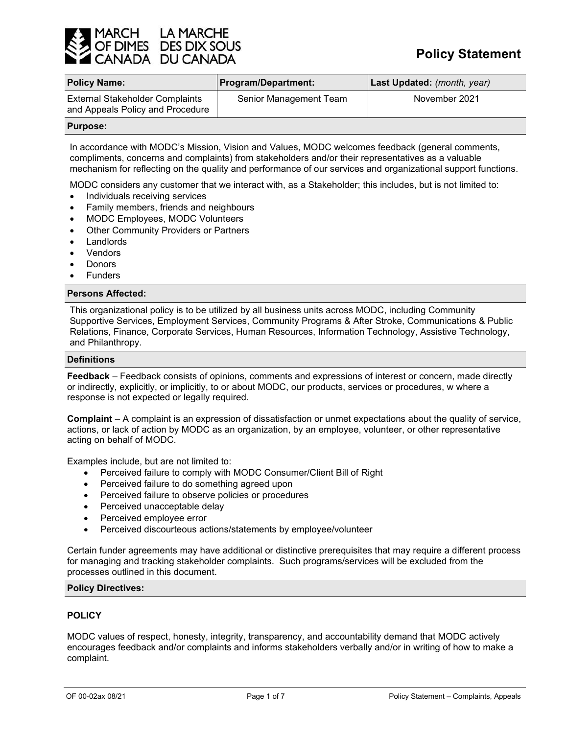

| <b>Policy Name:</b>                                                        | <b>Program/Department:</b> | Last Updated: (month, year) |
|----------------------------------------------------------------------------|----------------------------|-----------------------------|
| <b>External Stakeholder Complaints</b><br>and Appeals Policy and Procedure | Senior Management Team     | November 2021               |

#### **Purpose:**

In accordance with MODC's Mission, Vision and Values, MODC welcomes feedback (general comments, compliments, concerns and complaints) from stakeholders and/or their representatives as a valuable mechanism for reflecting on the quality and performance of our services and organizational support functions.

MODC considers any customer that we interact with, as a Stakeholder; this includes, but is not limited to:

- Individuals receiving services
- Family members, friends and neighbours
- MODC Employees, MODC Volunteers
- **Other Community Providers or Partners**
- **Landlords**
- Vendors
- Donors
- **Funders**

#### **Persons Affected:**

This organizational policy is to be utilized by all business units across MODC, including Community Supportive Services, Employment Services, Community Programs & After Stroke, Communications & Public Relations, Finance, Corporate Services, Human Resources, Information Technology, Assistive Technology, and Philanthropy.

#### **Definitions**

**Feedback** – Feedback consists of opinions, comments and expressions of interest or concern, made directly or indirectly, explicitly, or implicitly, to or about MODC, our products, services or procedures, w where a response is not expected or legally required.

**Complaint** – A complaint is an expression of dissatisfaction or unmet expectations about the quality of service, actions, or lack of action by MODC as an organization, by an employee, volunteer, or other representative acting on behalf of MODC.

Examples include, but are not limited to:

- Perceived failure to comply with MODC Consumer/Client Bill of Right
- Perceived failure to do something agreed upon
- Perceived failure to observe policies or procedures
- Perceived unacceptable delay
- Perceived employee error
- Perceived discourteous actions/statements by employee/volunteer

Certain funder agreements may have additional or distinctive prerequisites that may require a different process for managing and tracking stakeholder complaints. Such programs/services will be excluded from the processes outlined in this document.

#### **Policy Directives:**

#### **POLICY**

MODC values of respect, honesty, integrity, transparency, and accountability demand that MODC actively encourages feedback and/or complaints and informs stakeholders verbally and/or in writing of how to make a complaint.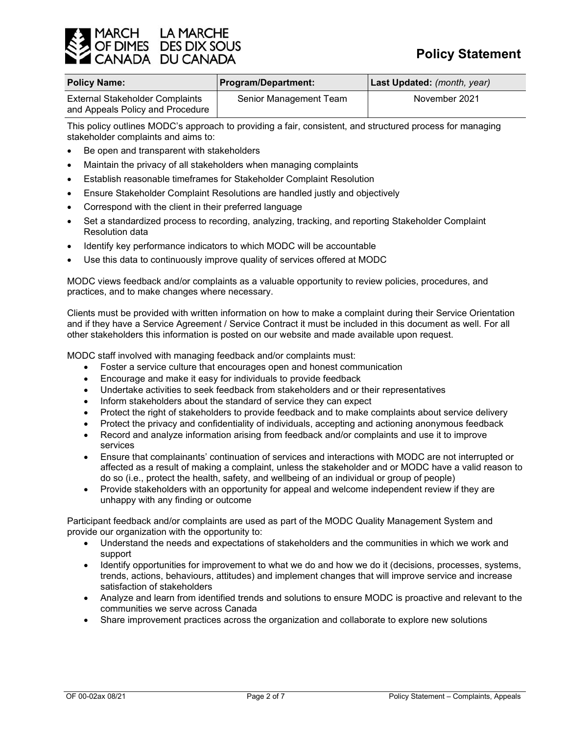

# **Policy Statement**

| <b>Policy Name:</b>                                                        | <b>Program/Department:</b> | Last Updated: (month, year) |
|----------------------------------------------------------------------------|----------------------------|-----------------------------|
| <b>External Stakeholder Complaints</b><br>and Appeals Policy and Procedure | Senior Management Team     | November 2021               |

This policy outlines MODC's approach to providing a fair, consistent, and structured process for managing stakeholder complaints and aims to:

- Be open and transparent with stakeholders
- Maintain the privacy of all stakeholders when managing complaints
- Establish reasonable timeframes for Stakeholder Complaint Resolution
- Ensure Stakeholder Complaint Resolutions are handled justly and objectively
- Correspond with the client in their preferred language
- Set a standardized process to recording, analyzing, tracking, and reporting Stakeholder Complaint Resolution data
- Identify key performance indicators to which MODC will be accountable
- Use this data to continuously improve quality of services offered at MODC

MODC views feedback and/or complaints as a valuable opportunity to review policies, procedures, and practices, and to make changes where necessary.

Clients must be provided with written information on how to make a complaint during their Service Orientation and if they have a Service Agreement / Service Contract it must be included in this document as well. For all other stakeholders this information is posted on our website and made available upon request.

MODC staff involved with managing feedback and/or complaints must:

- Foster a service culture that encourages open and honest communication
- Encourage and make it easy for individuals to provide feedback
- Undertake activities to seek feedback from stakeholders and or their representatives
- Inform stakeholders about the standard of service they can expect
- Protect the right of stakeholders to provide feedback and to make complaints about service delivery
- Protect the privacy and confidentiality of individuals, accepting and actioning anonymous feedback
- Record and analyze information arising from feedback and/or complaints and use it to improve services
- Ensure that complainants' continuation of services and interactions with MODC are not interrupted or affected as a result of making a complaint, unless the stakeholder and or MODC have a valid reason to do so (i.e., protect the health, safety, and wellbeing of an individual or group of people)
- Provide stakeholders with an opportunity for appeal and welcome independent review if they are unhappy with any finding or outcome

Participant feedback and/or complaints are used as part of the MODC Quality Management System and provide our organization with the opportunity to:

- Understand the needs and expectations of stakeholders and the communities in which we work and support
- Identify opportunities for improvement to what we do and how we do it (decisions, processes, systems, trends, actions, behaviours, attitudes) and implement changes that will improve service and increase satisfaction of stakeholders
- Analyze and learn from identified trends and solutions to ensure MODC is proactive and relevant to the communities we serve across Canada
- Share improvement practices across the organization and collaborate to explore new solutions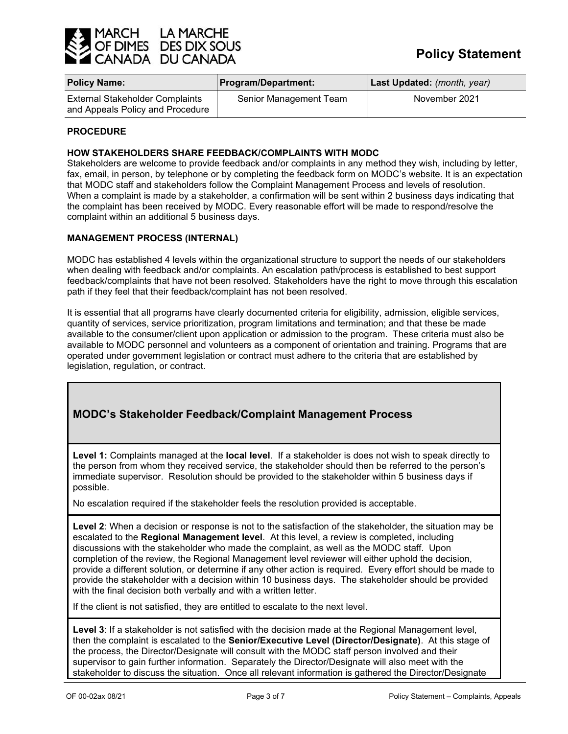

| <b>Policy Name:</b>                                                        | <b>Program/Department:</b> | Last Updated: (month, year) |
|----------------------------------------------------------------------------|----------------------------|-----------------------------|
| <b>External Stakeholder Complaints</b><br>and Appeals Policy and Procedure | Senior Management Team     | November 2021               |

#### **PROCEDURE**

# **HOW STAKEHOLDERS SHARE FEEDBACK/COMPLAINTS WITH MODC**

Stakeholders are welcome to provide feedback and/or complaints in any method they wish, including by letter, fax, email, in person, by telephone or by completing the feedback form on MODC's website. It is an expectation that MODC staff and stakeholders follow the Complaint Management Process and levels of resolution. When a complaint is made by a stakeholder, a confirmation will be sent within 2 business days indicating that the complaint has been received by MODC. Every reasonable effort will be made to respond/resolve the complaint within an additional 5 business days.

#### **MANAGEMENT PROCESS (INTERNAL)**

MODC has established 4 levels within the organizational structure to support the needs of our stakeholders when dealing with feedback and/or complaints. An escalation path/process is established to best support feedback/complaints that have not been resolved. Stakeholders have the right to move through this escalation path if they feel that their feedback/complaint has not been resolved.

It is essential that all programs have clearly documented criteria for eligibility, admission, eligible services, quantity of services, service prioritization, program limitations and termination; and that these be made available to the consumer/client upon application or admission to the program. These criteria must also be available to MODC personnel and volunteers as a component of orientation and training. Programs that are operated under government legislation or contract must adhere to the criteria that are established by legislation, regulation, or contract.

# **MODC's Stakeholder Feedback/Complaint Management Process**

**Level 1:** Complaints managed at the **local level**. If a stakeholder is does not wish to speak directly to the person from whom they received service, the stakeholder should then be referred to the person's immediate supervisor. Resolution should be provided to the stakeholder within 5 business days if possible.

No escalation required if the stakeholder feels the resolution provided is acceptable.

**Level 2**: When a decision or response is not to the satisfaction of the stakeholder, the situation may be escalated to the **Regional Management level**. At this level, a review is completed, including discussions with the stakeholder who made the complaint, as well as the MODC staff. Upon completion of the review, the Regional Management level reviewer will either uphold the decision, provide a different solution, or determine if any other action is required. Every effort should be made to provide the stakeholder with a decision within 10 business days. The stakeholder should be provided with the final decision both verbally and with a written letter.

If the client is not satisfied, they are entitled to escalate to the next level.

**Level 3**: If a stakeholder is not satisfied with the decision made at the Regional Management level, then the complaint is escalated to the **Senior/Executive Level (Director/Designate)**. At this stage of the process, the Director/Designate will consult with the MODC staff person involved and their supervisor to gain further information. Separately the Director/Designate will also meet with the stakeholder to discuss the situation. Once all relevant information is gathered the Director/Designate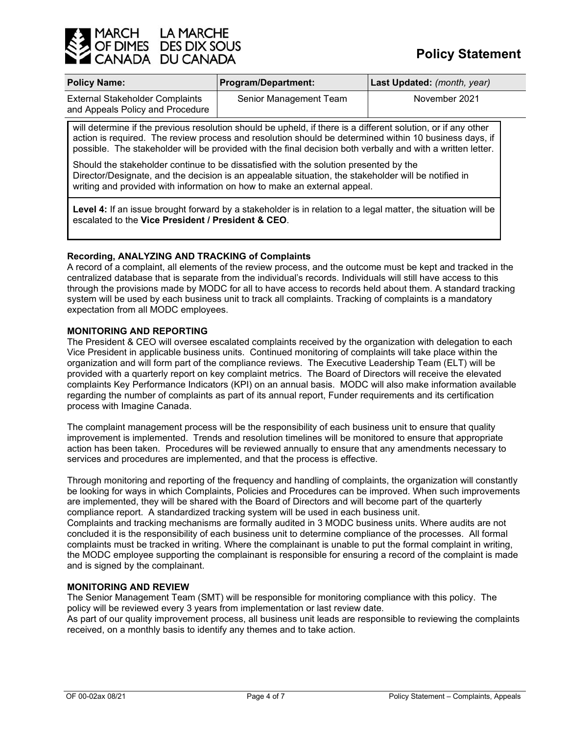

| <b>Policy Name:</b>                                                        | Program/Department:    | Last Updated: (month, year) |
|----------------------------------------------------------------------------|------------------------|-----------------------------|
| <b>External Stakeholder Complaints</b><br>and Appeals Policy and Procedure | Senior Management Team | November 2021               |

will determine if the previous resolution should be upheld, if there is a different solution, or if any other action is required. The review process and resolution should be determined within 10 business days, if possible. The stakeholder will be provided with the final decision both verbally and with a written letter.

Should the stakeholder continue to be dissatisfied with the solution presented by the Director/Designate, and the decision is an appealable situation, the stakeholder will be notified in writing and provided with information on how to make an external appeal.

**Level 4:** If an issue brought forward by a stakeholder is in relation to a legal matter, the situation will be escalated to the **Vice President / President & CEO**.

# **Recording, ANALYZING AND TRACKING of Complaints**

A record of a complaint, all elements of the review process, and the outcome must be kept and tracked in the centralized database that is separate from the individual's records. Individuals will still have access to this through the provisions made by MODC for all to have access to records held about them. A standard tracking system will be used by each business unit to track all complaints. Tracking of complaints is a mandatory expectation from all MODC employees.

# **MONITORING AND REPORTING**

The President & CEO will oversee escalated complaints received by the organization with delegation to each Vice President in applicable business units. Continued monitoring of complaints will take place within the organization and will form part of the compliance reviews. The Executive Leadership Team (ELT) will be provided with a quarterly report on key complaint metrics. The Board of Directors will receive the elevated complaints Key Performance Indicators (KPI) on an annual basis. MODC will also make information available regarding the number of complaints as part of its annual report, Funder requirements and its certification process with Imagine Canada.

The complaint management process will be the responsibility of each business unit to ensure that quality improvement is implemented. Trends and resolution timelines will be monitored to ensure that appropriate action has been taken. Procedures will be reviewed annually to ensure that any amendments necessary to services and procedures are implemented, and that the process is effective.

Through monitoring and reporting of the frequency and handling of complaints, the organization will constantly be looking for ways in which Complaints, Policies and Procedures can be improved. When such improvements are implemented, they will be shared with the Board of Directors and will become part of the quarterly compliance report. A standardized tracking system will be used in each business unit. Complaints and tracking mechanisms are formally audited in 3 MODC business units. Where audits are not concluded it is the responsibility of each business unit to determine compliance of the processes. All formal complaints must be tracked in writing. Where the complainant is unable to put the formal complaint in writing, the MODC employee supporting the complainant is responsible for ensuring a record of the complaint is made and is signed by the complainant.

#### **MONITORING AND REVIEW**

The Senior Management Team (SMT) will be responsible for monitoring compliance with this policy. The policy will be reviewed every 3 years from implementation or last review date.

As part of our quality improvement process, all business unit leads are responsible to reviewing the complaints received, on a monthly basis to identify any themes and to take action.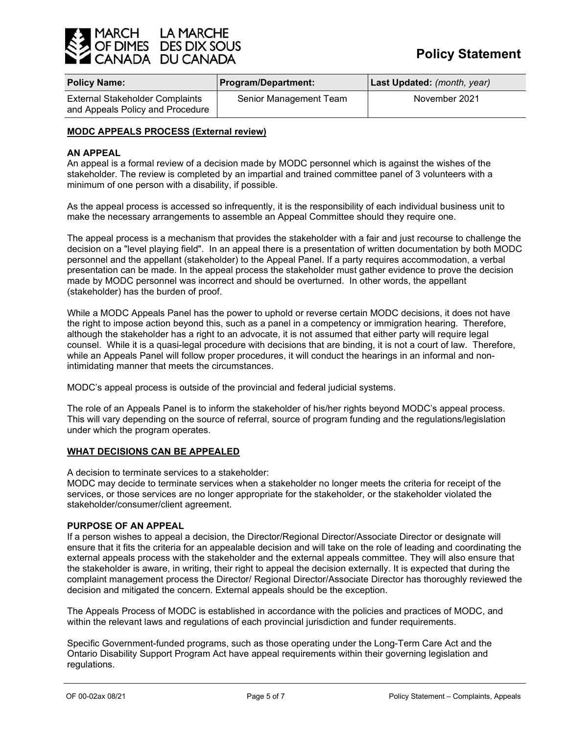

| <b>Policy Name:</b>                                                        | Program/Department:    | Last Updated: (month, year) |
|----------------------------------------------------------------------------|------------------------|-----------------------------|
| <b>External Stakeholder Complaints</b><br>and Appeals Policy and Procedure | Senior Management Team | November 2021               |

# **MODC APPEALS PROCESS (External review)**

#### **AN APPEAL**

An appeal is a formal review of a decision made by MODC personnel which is against the wishes of the stakeholder. The review is completed by an impartial and trained committee panel of 3 volunteers with a minimum of one person with a disability, if possible.

As the appeal process is accessed so infrequently, it is the responsibility of each individual business unit to make the necessary arrangements to assemble an Appeal Committee should they require one.

The appeal process is a mechanism that provides the stakeholder with a fair and just recourse to challenge the decision on a "level playing field". In an appeal there is a presentation of written documentation by both MODC personnel and the appellant (stakeholder) to the Appeal Panel. If a party requires accommodation, a verbal presentation can be made. In the appeal process the stakeholder must gather evidence to prove the decision made by MODC personnel was incorrect and should be overturned. In other words, the appellant (stakeholder) has the burden of proof.

While a MODC Appeals Panel has the power to uphold or reverse certain MODC decisions, it does not have the right to impose action beyond this, such as a panel in a competency or immigration hearing. Therefore, although the stakeholder has a right to an advocate, it is not assumed that either party will require legal counsel. While it is a quasi-legal procedure with decisions that are binding, it is not a court of law. Therefore, while an Appeals Panel will follow proper procedures, it will conduct the hearings in an informal and nonintimidating manner that meets the circumstances.

MODC's appeal process is outside of the provincial and federal judicial systems.

The role of an Appeals Panel is to inform the stakeholder of his/her rights beyond MODC's appeal process. This will vary depending on the source of referral, source of program funding and the regulations/legislation under which the program operates.

#### **WHAT DECISIONS CAN BE APPEALED**

A decision to terminate services to a stakeholder:

MODC may decide to terminate services when a stakeholder no longer meets the criteria for receipt of the services, or those services are no longer appropriate for the stakeholder, or the stakeholder violated the stakeholder/consumer/client agreement.

#### **PURPOSE OF AN APPEAL**

If a person wishes to appeal a decision, the Director/Regional Director/Associate Director or designate will ensure that it fits the criteria for an appealable decision and will take on the role of leading and coordinating the external appeals process with the stakeholder and the external appeals committee. They will also ensure that the stakeholder is aware, in writing, their right to appeal the decision externally. It is expected that during the complaint management process the Director/ Regional Director/Associate Director has thoroughly reviewed the decision and mitigated the concern. External appeals should be the exception.

The Appeals Process of MODC is established in accordance with the policies and practices of MODC, and within the relevant laws and regulations of each provincial jurisdiction and funder requirements.

Specific Government-funded programs, such as those operating under the Long-Term Care Act and the Ontario Disability Support Program Act have appeal requirements within their governing legislation and regulations.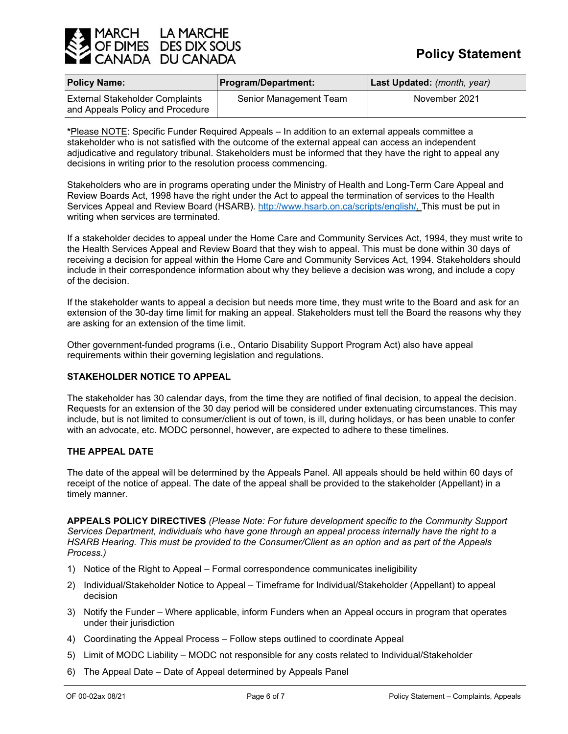

| <b>Policy Name:</b>                                                        | <b>Program/Department:</b> | Last Updated: (month, year) |  |
|----------------------------------------------------------------------------|----------------------------|-----------------------------|--|
| <b>External Stakeholder Complaints</b><br>and Appeals Policy and Procedure | Senior Management Team     | November 2021               |  |

**\***Please NOTE: Specific Funder Required Appeals – In addition to an external appeals committee a stakeholder who is not satisfied with the outcome of the external appeal can access an independent adjudicative and regulatory tribunal. Stakeholders must be informed that they have the right to appeal any decisions in writing prior to the resolution process commencing.

Stakeholders who are in programs operating under the Ministry of Health and Long-Term Care Appeal and Review Boards Act, 1998 have the right under the Act to appeal the termination of services to the Health Services Appeal and Review Board (HSARB). [http://www.hsarb.on.ca/scripts/english/.](http://www.hsarb.on.ca/scripts/english/) This must be put in writing when services are terminated.

If a stakeholder decides to appeal under the Home Care and Community Services Act, 1994, they must write to the Health Services Appeal and Review Board that they wish to appeal. This must be done within 30 days of receiving a decision for appeal within the Home Care and Community Services Act, 1994. Stakeholders should include in their correspondence information about why they believe a decision was wrong, and include a copy of the decision.

If the stakeholder wants to appeal a decision but needs more time, they must write to the Board and ask for an extension of the 30-day time limit for making an appeal. Stakeholders must tell the Board the reasons why they are asking for an extension of the time limit.

Other government-funded programs (i.e., Ontario Disability Support Program Act) also have appeal requirements within their governing legislation and regulations.

# **STAKEHOLDER NOTICE TO APPEAL**

The stakeholder has 30 calendar days, from the time they are notified of final decision, to appeal the decision. Requests for an extension of the 30 day period will be considered under extenuating circumstances. This may include, but is not limited to consumer/client is out of town, is ill, during holidays, or has been unable to confer with an advocate, etc. MODC personnel, however, are expected to adhere to these timelines.

#### **THE APPEAL DATE**

The date of the appeal will be determined by the Appeals Panel. All appeals should be held within 60 days of receipt of the notice of appeal. The date of the appeal shall be provided to the stakeholder (Appellant) in a timely manner.

**APPEALS POLICY DIRECTIVES** *(Please Note: For future development specific to the Community Support Services Department, individuals who have gone through an appeal process internally have the right to a HSARB Hearing. This must be provided to the Consumer/Client as an option and as part of the Appeals Process.)*

- 1) Notice of the Right to Appeal Formal correspondence communicates ineligibility
- 2) Individual/Stakeholder Notice to Appeal Timeframe for Individual/Stakeholder (Appellant) to appeal decision
- 3) Notify the Funder Where applicable, inform Funders when an Appeal occurs in program that operates under their jurisdiction
- 4) Coordinating the Appeal Process Follow steps outlined to coordinate Appeal
- 5) Limit of MODC Liability MODC not responsible for any costs related to Individual/Stakeholder
- 6) The Appeal Date Date of Appeal determined by Appeals Panel